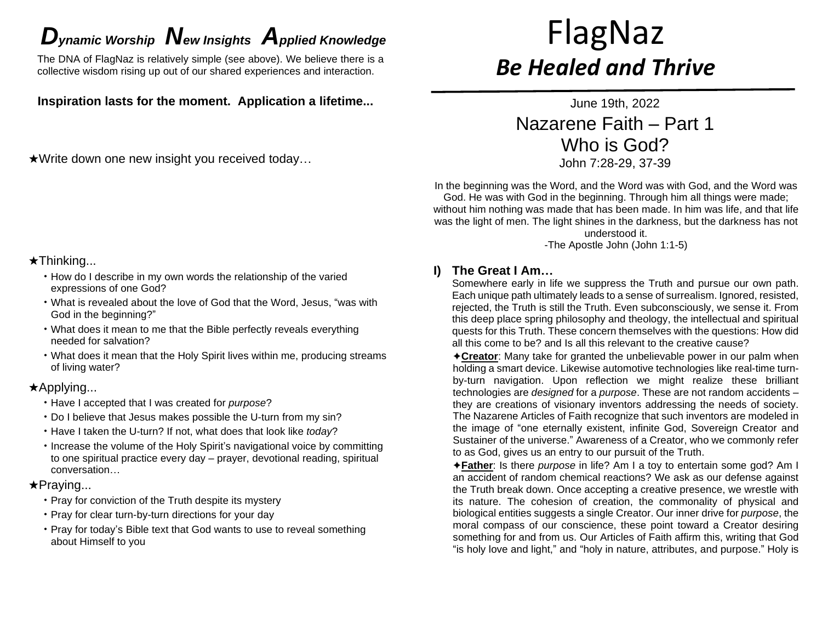# *D*<sub>ynamic</sub> Worship **N**ew Insights *Applied Knowledge* FlagNaz

The DNA of FlagNaz is relatively simple (see above). We believe there is a collective wisdom rising up out of our shared experiences and interaction.

**Inspiration lasts for the moment. Application a lifetime...**

★Write down one new insight you received today…

# ★Thinking...

- How do I describe in my own words the relationship of the varied expressions of one God?
- What is revealed about the love of God that the Word, Jesus, "was with God in the beginning?"
- What does it mean to me that the Bible perfectly reveals everything needed for salvation?
- What does it mean that the Holy Spirit lives within me, producing streams of living water?

# ★Applying...

- Have I accepted that I was created for *purpose*?
- Do I believe that Jesus makes possible the U-turn from my sin?
- Have I taken the U-turn? If not, what does that look like *today*?
- Increase the volume of the Holy Spirit's navigational voice by committing to one spiritual practice every day – prayer, devotional reading, spiritual conversation…

# ★Praying...

- Pray for conviction of the Truth despite its mystery
- Pray for clear turn-by-turn directions for your day
- Pray for today's Bible text that God wants to use to reveal something about Himself to you

# *Be Healed and Thrive*

June 19th, 2022 Nazarene Faith – Part 1 Who is God? John 7:28-29, 37-39

In the beginning was the Word, and the Word was with God, and the Word was God. He was with God in the beginning. Through him all things were made; without him nothing was made that has been made. In him was life, and that life was the light of men. The light shines in the darkness, but the darkness has not understood it.

-The Apostle John (John 1:1-5)

# **I) The Great I Am…**

Somewhere early in life we suppress the Truth and pursue our own path. Each unique path ultimately leads to a sense of surrealism. Ignored, resisted, rejected, the Truth is still the Truth. Even subconsciously, we sense it. From this deep place spring philosophy and theology, the intellectual and spiritual quests for this Truth. These concern themselves with the questions: How did all this come to be? and Is all this relevant to the creative cause?

✦**Creator**: Many take for granted the unbelievable power in our palm when holding a smart device. Likewise automotive technologies like real-time turnby-turn navigation. Upon reflection we might realize these brilliant technologies are *designed* for a *purpose*. These are not random accidents – they are creations of visionary inventors addressing the needs of society. The Nazarene Articles of Faith recognize that such inventors are modeled in the image of "one eternally existent, infinite God, Sovereign Creator and Sustainer of the universe." Awareness of a Creator, who we commonly refer to as God, gives us an entry to our pursuit of the Truth.

✦**Father**: Is there *purpose* in life? Am I a toy to entertain some god? Am I an accident of random chemical reactions? We ask as our defense against the Truth break down. Once accepting a creative presence, we wrestle with its nature. The cohesion of creation, the commonality of physical and biological entities suggests a single Creator. Our inner drive for *purpose*, the moral compass of our conscience, these point toward a Creator desiring something for and from us. Our Articles of Faith affirm this, writing that God "is holy love and light," and "holy in nature, attributes, and purpose." Holy is